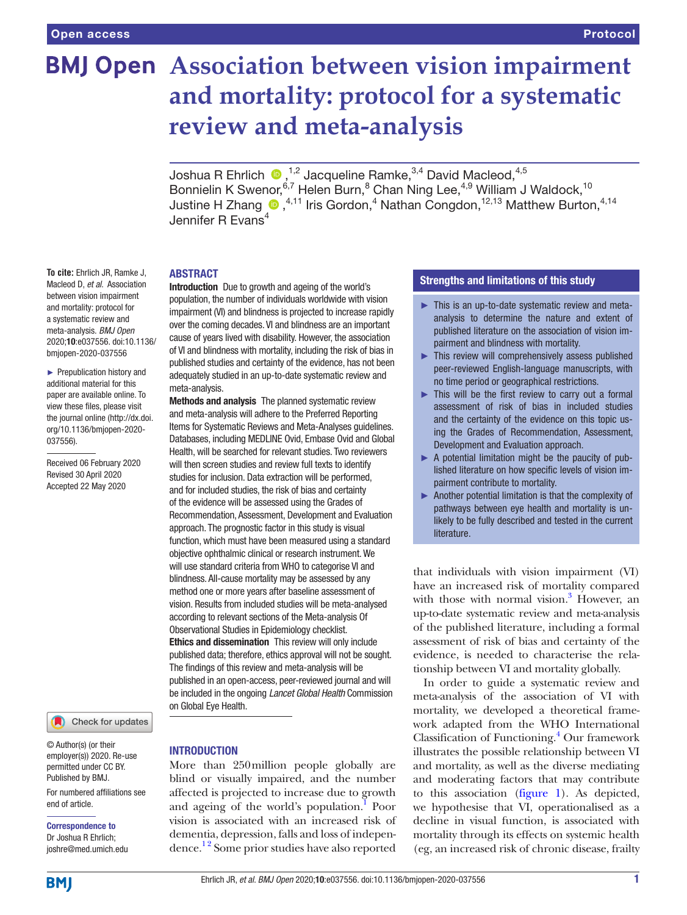# **BMJ Open** Association between vision impairment **and mortality: protocol for a systematic review and meta-analysis**

Joshua R Ehrlich  $\bullet$  ,<sup>1,2</sup> Jacqueline Ramke,<sup>3,4</sup> David Macleod,<sup>4,5</sup> Bonnielin K Swenor,<sup>6,7</sup> Helen Burn,<sup>8</sup> Chan Ning Lee,<sup>4,9</sup> William J Waldock,<sup>10</sup> JustineH Zhang  $\bigcirc$  ,<sup>4,11</sup> Iris Gordon,<sup>4</sup> Nathan Congdon,<sup>12,13</sup> Matthew Burton,<sup>4,14</sup> Jennifer R Evans<sup>4</sup>

#### **ABSTRACT**

meta-analysis.

Introduction Due to growth and ageing of the world's population, the number of individuals worldwide with vision impairment (VI) and blindness is projected to increase rapidly over the coming decades. VI and blindness are an important cause of years lived with disability. However, the association of VI and blindness with mortality, including the risk of bias in published studies and certainty of the evidence, has not been adequately studied in an up-to-date systematic review and

Methods and analysis The planned systematic review and meta-analysis will adhere to the Preferred Reporting Items for Systematic Reviews and Meta-Analyses guidelines. Databases, including MEDLINE Ovid, Embase Ovid and Global Health, will be searched for relevant studies. Two reviewers will then screen studies and review full texts to identify studies for inclusion. Data extraction will be performed, and for included studies, the risk of bias and certainty of the evidence will be assessed using the Grades of Recommendation, Assessment, Development and Evaluation approach. The prognostic factor in this study is visual function, which must have been measured using a standard objective ophthalmic clinical or research instrument. We will use standard criteria from WHO to categorise VI and blindness. All-cause mortality may be assessed by any method one or more years after baseline assessment of vision. Results from included studies will be meta-analysed according to relevant sections of the Meta-analysis Of Observational Studies in Epidemiology checklist. Ethics and dissemination This review will only include published data; therefore, ethics approval will not be sought. The findings of this review and meta-analysis will be published in an open-access, peer-reviewed journal and will be included in the ongoing *Lancet Global Health* Commission

**To cite:** Ehrlich JR, Ramke J, Macleod D, *et al*. Association between vision impairment and mortality: protocol for a systematic review and meta-analysis. *BMJ Open* 2020;10:e037556. doi:10.1136/ bmjopen-2020-037556

► Prepublication history and additional material for this paper are available online. To view these files, please visit the journal online (http://dx.doi. org/10.1136/bmjopen-2020- 037556).

Received 06 February 2020 Revised 30 April 2020 Accepted 22 May 2020

Check for updates

© Author(s) (or their employer(s)) 2020. Re-use permitted under CC BY. Published by BMJ.

For numbered affiliations see end of article.

Correspondence to Dr Joshua R Ehrlich; joshre@med.umich.edu **INTRODUCTION** 

on Global Eye Health.

More than 250million people globally are blind or visually impaired, and the number affected is projected to increase due to growth and ageing of the world's population.<sup>1</sup> Poor vision is associated with an increased risk of dementia, depression, falls and loss of independence.<sup>12</sup> Some prior studies have also reported

#### Strengths and limitations of this study

- ► This is an up-to-date systematic review and metaanalysis to determine the nature and extent of published literature on the association of vision impairment and blindness with mortality.
- ► This review will comprehensively assess published peer-reviewed English-language manuscripts, with no time period or geographical restrictions.
- $\blacktriangleright$  This will be the first review to carry out a formal assessment of risk of bias in included studies and the certainty of the evidence on this topic using the Grades of Recommendation, Assessment, Development and Evaluation approach.
- ► A potential limitation might be the paucity of published literature on how specific levels of vision impairment contribute to mortality.
- ► Another potential limitation is that the complexity of pathways between eye health and mortality is unlikely to be fully described and tested in the current literature.

that individuals with vision impairment (VI) have an increased risk of mortality compared with those with normal vision.<sup>[3](#page-4-1)</sup> However, an up-to-date systematic review and meta-analysis of the published literature, including a formal assessment of risk of bias and certainty of the evidence, is needed to characterise the relationship between VI and mortality globally.

In order to guide a systematic review and meta-analysis of the association of VI with mortality, we developed a theoretical framework adapted from the WHO International Classification of Functioning[.4](#page-4-2) Our framework illustrates the possible relationship between VI and mortality, as well as the diverse mediating and moderating factors that may contribute to this association [\(figure](#page-1-0) 1). As depicted, we hypothesise that VI, operationalised as a decline in visual function, is associated with mortality through its effects on systemic health (eg, an increased risk of chronic disease, frailty

**BMI**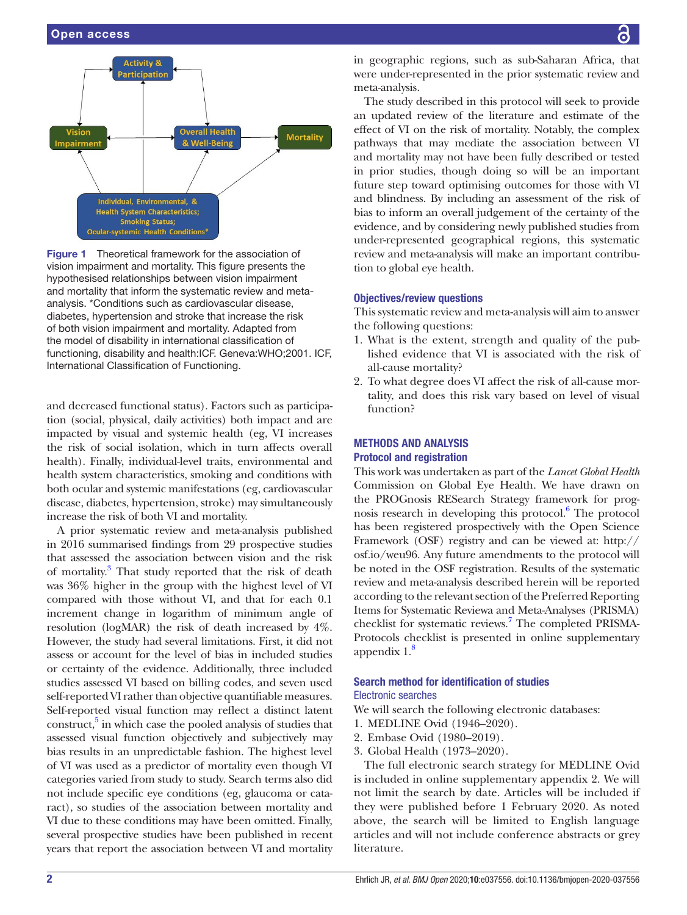

<span id="page-1-0"></span>Figure 1 Theoretical framework for the association of vision impairment and mortality. This figure presents the hypothesised relationships between vision impairment and mortality that inform the systematic review and metaanalysis. \*Conditions such as cardiovascular disease, diabetes, hypertension and stroke that increase the risk of both vision impairment and mortality. Adapted from the model of disability in international classification of functioning, disability and health:ICF. Geneva:WHO;2001. ICF, International Classification of Functioning.

and decreased functional status). Factors such as participation (social, physical, daily activities) both impact and are impacted by visual and systemic health (eg, VI increases the risk of social isolation, which in turn affects overall health). Finally, individual-level traits, environmental and health system characteristics, smoking and conditions with both ocular and systemic manifestations (eg, cardiovascular disease, diabetes, hypertension, stroke) may simultaneously increase the risk of both VI and mortality.

A prior systematic review and meta-analysis published in 2016 summarised findings from 29 prospective studies that assessed the association between vision and the risk of mortality.<sup>3</sup> That study reported that the risk of death was 36% higher in the group with the highest level of VI compared with those without VI, and that for each 0.1 increment change in logarithm of minimum angle of resolution (logMAR) the risk of death increased by 4%. However, the study had several limitations. First, it did not assess or account for the level of bias in included studies or certainty of the evidence. Additionally, three included studies assessed VI based on billing codes, and seven used self-reported VI rather than objective quantifiable measures. Self-reported visual function may reflect a distinct latent construct,<sup>5</sup> in which case the pooled analysis of studies that assessed visual function objectively and subjectively may bias results in an unpredictable fashion. The highest level of VI was used as a predictor of mortality even though VI categories varied from study to study. Search terms also did not include specific eye conditions (eg, glaucoma or cataract), so studies of the association between mortality and VI due to these conditions may have been omitted. Finally, several prospective studies have been published in recent years that report the association between VI and mortality

in geographic regions, such as sub-Saharan Africa, that were under-represented in the prior systematic review and meta-analysis.

The study described in this protocol will seek to provide an updated review of the literature and estimate of the effect of VI on the risk of mortality. Notably, the complex pathways that may mediate the association between VI and mortality may not have been fully described or tested in prior studies, though doing so will be an important future step toward optimising outcomes for those with VI and blindness. By including an assessment of the risk of bias to inform an overall judgement of the certainty of the evidence, and by considering newly published studies from under-represented geographical regions, this systematic review and meta-analysis will make an important contribution to global eye health.

#### Objectives/review questions

This systematic review and meta-analysis will aim to answer the following questions:

- 1. What is the extent, strength and quality of the published evidence that VI is associated with the risk of all-cause mortality?
- 2. To what degree does VI affect the risk of all-cause mortality, and does this risk vary based on level of visual function?

#### Methods and analysis

#### Protocol and registration

This work was undertaken as part of the *Lancet Global Health* Commission on Global Eye Health. We have drawn on the PROGnosis RESearch Strategy framework for prog-nosis research in developing this protocol.<sup>[6](#page-4-4)</sup> The protocol has been registered prospectively with the Open Science Framework (OSF) registry and can be viewed at: [http://](http://osf.io/weu96) [osf.io/weu96.](http://osf.io/weu96) Any future amendments to the protocol will be noted in the OSF registration. Results of the systematic review and meta-analysis described herein will be reported according to the relevant section of the Preferred Reporting Items for Systematic Reviewa and Meta-Analyses (PRISMA) checklist for systematic reviews.<sup>[7](#page-4-5)</sup> The completed PRISMA-Protocols checklist is presented in [online supplementary](https://dx.doi.org/10.1136/bmjopen-2020-037556)  appendix  $1.8$  $1.8$ 

# Search method for identification of studies

## Electronic searches

We will search the following electronic databases:

- 1. MEDLINE Ovid (1946–2020).
- 2. Embase Ovid (1980–2019).
- 3. Global Health (1973–2020).

The full electronic search strategy for MEDLINE Ovid is included in [online supplementary appendix 2.](https://dx.doi.org/10.1136/bmjopen-2020-037556) We will not limit the search by date. Articles will be included if they were published before 1 February 2020. As noted above, the search will be limited to English language articles and will not include conference abstracts or grey literature.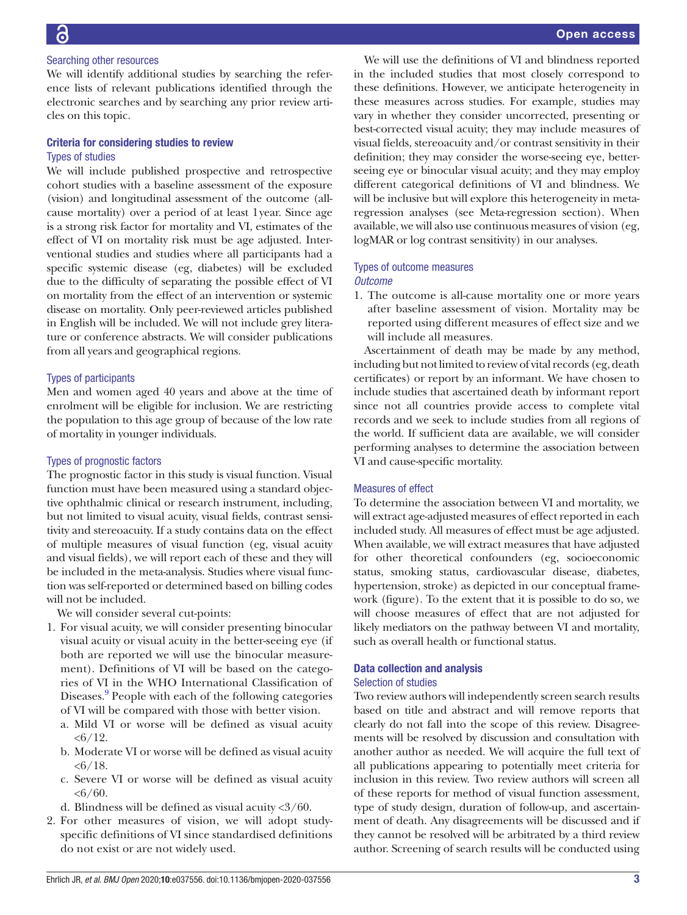#### Searching other resources

We will identify additional studies by searching the reference lists of relevant publications identified through the electronic searches and by searching any prior review articles on this topic.

#### Criteria for considering studies to review Types of studies

We will include published prospective and retrospective cohort studies with a baseline assessment of the exposure (vision) and longitudinal assessment of the outcome (allcause mortality) over a period of at least 1year. Since age is a strong risk factor for mortality and VI, estimates of the effect of VI on mortality risk must be age adjusted. Interventional studies and studies where all participants had a specific systemic disease (eg, diabetes) will be excluded due to the difficulty of separating the possible effect of VI on mortality from the effect of an intervention or systemic disease on mortality. Only peer-reviewed articles published in English will be included. We will not include grey literature or conference abstracts. We will consider publications from all years and geographical regions.

#### Types of participants

Men and women aged 40 years and above at the time of enrolment will be eligible for inclusion. We are restricting the population to this age group of because of the low rate of mortality in younger individuals.

#### Types of prognostic factors

The prognostic factor in this study is visual function. Visual function must have been measured using a standard objective ophthalmic clinical or research instrument, including, but not limited to visual acuity, visual fields, contrast sensitivity and stereoacuity. If a study contains data on the effect of multiple measures of visual function (eg, visual acuity and visual fields), we will report each of these and they will be included in the meta-analysis. Studies where visual function was self-reported or determined based on billing codes will not be included.

We will consider several cut-points:

- 1. For visual acuity, we will consider presenting binocular visual acuity or visual acuity in the better-seeing eye (if both are reported we will use the binocular measurement). Definitions of VI will be based on the categories of VI in the WHO International Classification of Diseases.<sup>[9](#page-4-7)</sup> People with each of the following categories of VI will be compared with those with better vision.
	- a. Mild VI or worse will be defined as visual acuity  $< 6/12$ .
	- b. Moderate VI or worse will be defined as visual acuity  $<\frac{6}{18}$ .
	- c. Severe VI or worse will be defined as visual acuity  $<\frac{6}{60}$ .
	- d. Blindness will be defined as visual acuity <3/60.
- 2. For other measures of vision, we will adopt studyspecific definitions of VI since standardised definitions do not exist or are not widely used.

We will use the definitions of VI and blindness reported in the included studies that most closely correspond to these definitions. However, we anticipate heterogeneity in these measures across studies. For example, studies may vary in whether they consider uncorrected, presenting or best-corrected visual acuity; they may include measures of visual fields, stereoacuity and/or contrast sensitivity in their definition; they may consider the worse-seeing eye, betterseeing eye or binocular visual acuity; and they may employ different categorical definitions of VI and blindness. We will be inclusive but will explore this heterogeneity in metaregression analyses (see Meta-regression section). When available, we will also use continuous measures of vision (eg, logMAR or log contrast sensitivity) in our analyses.

#### Types of outcome measures *Outcome*

1. The outcome is all-cause mortality one or more years after baseline assessment of vision. Mortality may be reported using different measures of effect size and we will include all measures.

Ascertainment of death may be made by any method, including but not limited to review of vital records (eg, death certificates) or report by an informant. We have chosen to include studies that ascertained death by informant report since not all countries provide access to complete vital records and we seek to include studies from all regions of the world. If sufficient data are available, we will consider performing analyses to determine the association between VI and cause-specific mortality.

#### Measures of effect

To determine the association between VI and mortality, we will extract age-adjusted measures of effect reported in each included study. All measures of effect must be age adjusted. When available, we will extract measures that have adjusted for other theoretical confounders (eg, socioeconomic status, smoking status, cardiovascular disease, diabetes, hypertension, stroke) as depicted in our conceptual framework (figure). To the extent that it is possible to do so, we will choose measures of effect that are not adjusted for likely mediators on the pathway between VI and mortality, such as overall health or functional status.

#### Data collection and analysis

#### Selection of studies

Two review authors will independently screen search results based on title and abstract and will remove reports that clearly do not fall into the scope of this review. Disagreements will be resolved by discussion and consultation with another author as needed. We will acquire the full text of all publications appearing to potentially meet criteria for inclusion in this review. Two review authors will screen all of these reports for method of visual function assessment, type of study design, duration of follow-up, and ascertainment of death. Any disagreements will be discussed and if they cannot be resolved will be arbitrated by a third review author. Screening of search results will be conducted using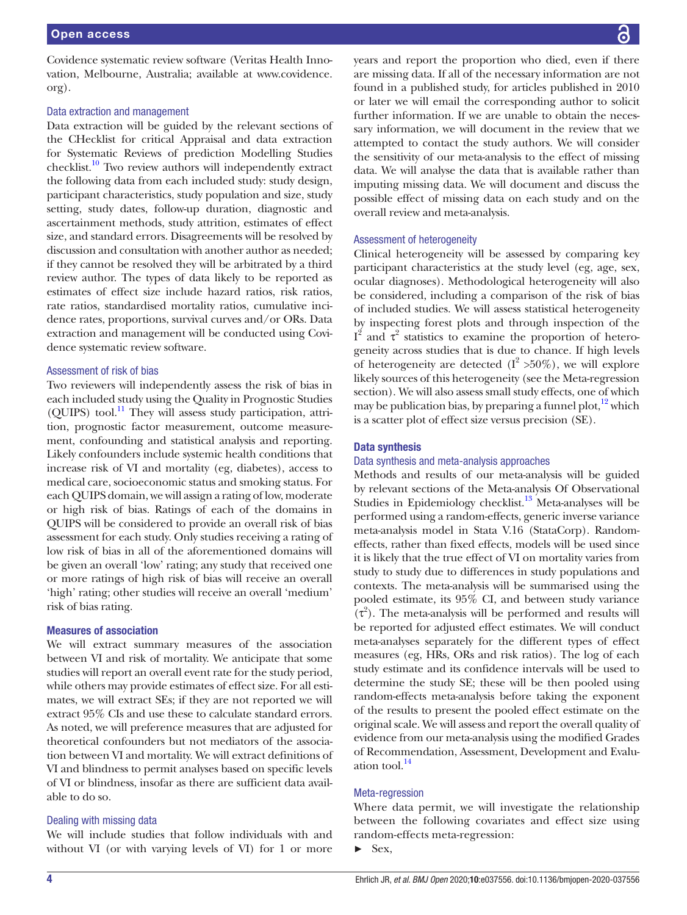Covidence systematic review software (Veritas Health Innovation, Melbourne, Australia; available at [www.covidence.](www.covidence.org) [org\)](www.covidence.org).

#### Data extraction and management

Data extraction will be guided by the relevant sections of the CHecklist for critical Appraisal and data extraction for Systematic Reviews of prediction Modelling Studies checklist.<sup>10</sup> Two review authors will independently extract the following data from each included study: study design, participant characteristics, study population and size, study setting, study dates, follow-up duration, diagnostic and ascertainment methods, study attrition, estimates of effect size, and standard errors. Disagreements will be resolved by discussion and consultation with another author as needed; if they cannot be resolved they will be arbitrated by a third review author. The types of data likely to be reported as estimates of effect size include hazard ratios, risk ratios, rate ratios, standardised mortality ratios, cumulative incidence rates, proportions, survival curves and/or ORs. Data extraction and management will be conducted using Covidence systematic review software.

#### Assessment of risk of bias

Two reviewers will independently assess the risk of bias in each included study using the Quality in Prognostic Studies (QUIPS) tool.<sup>[11](#page-4-9)</sup> They will assess study participation, attrition, prognostic factor measurement, outcome measurement, confounding and statistical analysis and reporting. Likely confounders include systemic health conditions that increase risk of VI and mortality (eg, diabetes), access to medical care, socioeconomic status and smoking status. For each QUIPS domain, we will assign a rating of low, moderate or high risk of bias. Ratings of each of the domains in QUIPS will be considered to provide an overall risk of bias assessment for each study. Only studies receiving a rating of low risk of bias in all of the aforementioned domains will be given an overall 'low' rating; any study that received one or more ratings of high risk of bias will receive an overall 'high' rating; other studies will receive an overall 'medium' risk of bias rating.

#### Measures of association

We will extract summary measures of the association between VI and risk of mortality. We anticipate that some studies will report an overall event rate for the study period, while others may provide estimates of effect size. For all estimates, we will extract SEs; if they are not reported we will extract 95% CIs and use these to calculate standard errors. As noted, we will preference measures that are adjusted for theoretical confounders but not mediators of the association between VI and mortality. We will extract definitions of VI and blindness to permit analyses based on specific levels of VI or blindness, insofar as there are sufficient data available to do so.

#### Dealing with missing data

We will include studies that follow individuals with and without VI (or with varying levels of VI) for 1 or more years and report the proportion who died, even if there are missing data. If all of the necessary information are not found in a published study, for articles published in 2010 or later we will email the corresponding author to solicit further information. If we are unable to obtain the necessary information, we will document in the review that we attempted to contact the study authors. We will consider the sensitivity of our meta-analysis to the effect of missing data. We will analyse the data that is available rather than imputing missing data. We will document and discuss the possible effect of missing data on each study and on the overall review and meta-analysis.

#### Assessment of heterogeneity

Clinical heterogeneity will be assessed by comparing key participant characteristics at the study level (eg, age, sex, ocular diagnoses). Methodological heterogeneity will also be considered, including a comparison of the risk of bias of included studies. We will assess statistical heterogeneity by inspecting forest plots and through inspection of the  $I^2$  and τ<sup>2</sup> statistics to examine the proportion of heterogeneity across studies that is due to chance. If high levels of heterogeneity are detected  $(I^2 > 50\%)$ , we will explore likely sources of this heterogeneity (see the Meta-regression section). We will also assess small study effects, one of which may be publication bias, by preparing a funnel plot, $12$  which is a scatter plot of effect size versus precision (SE).

#### Data synthesis

#### Data synthesis and meta-analysis approaches

Methods and results of our meta-analysis will be guided by relevant sections of the Meta-analysis Of Observational Studies in Epidemiology checklist.<sup>13</sup> Meta-analyses will be performed using a random-effects, generic inverse variance meta-analysis model in Stata V.16 (StataCorp). Randomeffects, rather than fixed effects, models will be used since it is likely that the true effect of VI on mortality varies from study to study due to differences in study populations and contexts. The meta-analysis will be summarised using the pooled estimate, its 95% CI, and between study variance  $(\tau^2)$ . The meta-analysis will be performed and results will be reported for adjusted effect estimates. We will conduct meta-analyses separately for the different types of effect measures (eg, HRs, ORs and risk ratios). The log of each study estimate and its confidence intervals will be used to determine the study SE; these will be then pooled using random-effects meta-analysis before taking the exponent of the results to present the pooled effect estimate on the original scale. We will assess and report the overall quality of evidence from our meta-analysis using the modified Grades of Recommendation, Assessment, Development and Evaluation tool[.14](#page-4-12)

#### Meta-regression

Where data permit, we will investigate the relationship between the following covariates and effect size using random-effects meta-regression:

 $\blacktriangleright$  Sex,